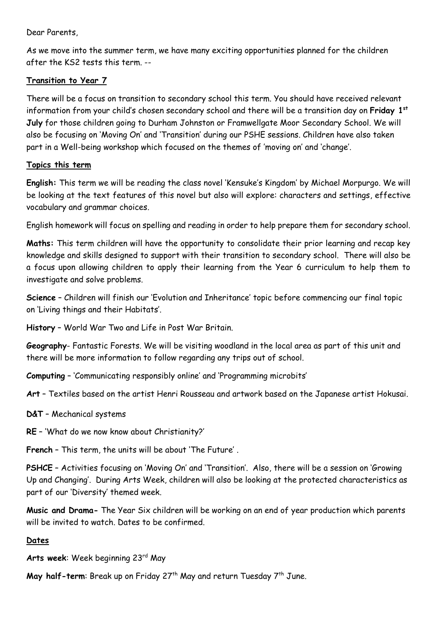Dear Parents,

As we move into the summer term, we have many exciting opportunities planned for the children after the KS2 tests this term. --

## **Transition to Year 7**

There will be a focus on transition to secondary school this term. You should have received relevant information from your child's chosen secondary school and there will be a transition day on **Friday 1st July** for those children going to Durham Johnston or Framwellgate Moor Secondary School. We will also be focusing on 'Moving On' and 'Transition' during our PSHE sessions. Children have also taken part in a Well-being workshop which focused on the themes of 'moving on' and 'change'.

## **Topics this term**

**English:** This term we will be reading the class novel 'Kensuke's Kingdom' by Michael Morpurgo. We will be looking at the text features of this novel but also will explore: characters and settings, effective vocabulary and grammar choices.

English homework will focus on spelling and reading in order to help prepare them for secondary school.

**Maths:** This term children will have the opportunity to consolidate their prior learning and recap key knowledge and skills designed to support with their transition to secondary school. There will also be a focus upon allowing children to apply their learning from the Year 6 curriculum to help them to investigate and solve problems.

**Science** – Children will finish our 'Evolution and Inheritance' topic before commencing our final topic on 'Living things and their Habitats'.

**History** – World War Two and Life in Post War Britain.

**Geography**- Fantastic Forests. We will be visiting woodland in the local area as part of this unit and there will be more information to follow regarding any trips out of school.

**Computing** – 'Communicating responsibly online' and 'Programming microbits'

**Art** – Textiles based on the artist Henri Rousseau and artwork based on the Japanese artist Hokusai.

**D&T** – Mechanical systems

**RE** – 'What do we now know about Christianity?'

**French** – This term, the units will be about 'The Future' .

**PSHCE** – Activities focusing on 'Moving On' and 'Transition'. Also, there will be a session on 'Growing Up and Changing'. During Arts Week, children will also be looking at the protected characteristics as part of our 'Diversity' themed week.

**Music and Drama-** The Year Six children will be working on an end of year production which parents will be invited to watch. Dates to be confirmed.

## **Dates**

Arts week: Week beginning 23rd May

**May half-term**: Break up on Friday 27<sup>th</sup> May and return Tuesday 7<sup>th</sup> June.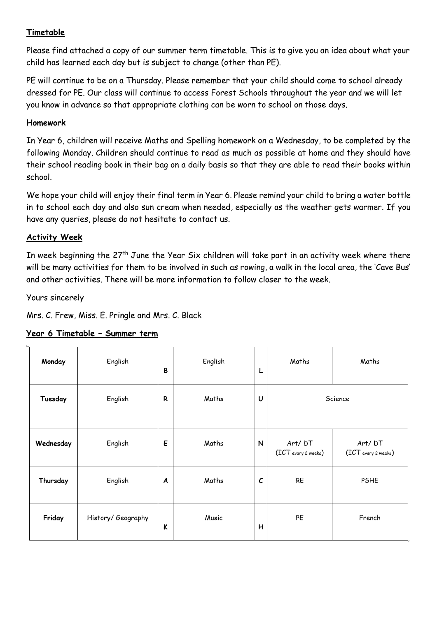## **Timetable**

Please find attached a copy of our summer term timetable. This is to give you an idea about what your child has learned each day but is subject to change (other than PE).

PE will continue to be on a Thursday. Please remember that your child should come to school already dressed for PE. Our class will continue to access Forest Schools throughout the year and we will let you know in advance so that appropriate clothing can be worn to school on those days.

#### **Homework**

In Year 6, children will receive Maths and Spelling homework on a Wednesday, to be completed by the following Monday. Children should continue to read as much as possible at home and they should have their school reading book in their bag on a daily basis so that they are able to read their books within school.

We hope your child will enjoy their final term in Year 6. Please remind your child to bring a water bottle in to school each day and also sun cream when needed, especially as the weather gets warmer. If you have any queries, please do not hesitate to contact us.

#### **Activity Week**

In week beginning the  $27<sup>th</sup>$  June the Year Six children will take part in an activity week where there will be many activities for them to be involved in such as rowing, a walk in the local area, the 'Cave Bus' and other activities. There will be more information to follow closer to the week.

Yours sincerely

Mrs. C. Frew, Miss. E. Pringle and Mrs. C. Black

#### **Year 6 Timetable – Summer term**

| Monday    | English            | B | English | L             | Maths                         | Maths                         |
|-----------|--------------------|---|---------|---------------|-------------------------------|-------------------------------|
| Tuesday   | English            | R | Maths   | U             |                               | Science                       |
| Wednesday | English            | E | Maths   | ${\sf N}$     | Art/DT<br>(ICT every 2 weeks) | Art/DT<br>(ICT every 2 weeks) |
| Thursday  | English            | A | Maths   | $\mathcal{C}$ | RE                            | <b>PSHE</b>                   |
| Friday    | History/ Geography | K | Music   | н             | PE                            | French                        |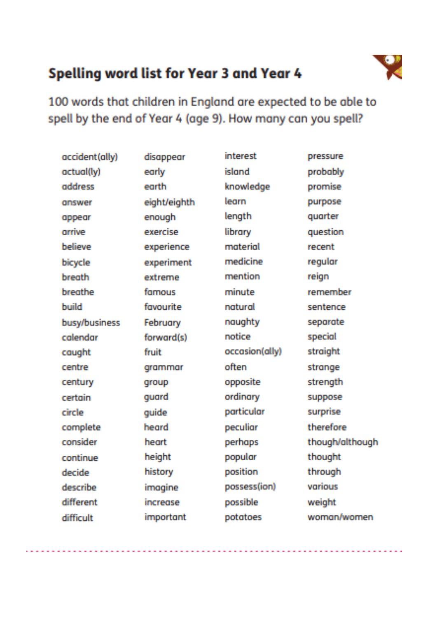## Spelling word list for Year 3 and Year 4



100 words that children in England are expected to be able to spell by the end of Year 4 (age 9). How many can you spell?

| accident(ally) | disappear    | interest       | pressure        |
|----------------|--------------|----------------|-----------------|
| actual(ly)     | early        | island         | probably        |
| address        | earth        | knowledge      | promise         |
| answer         | eight/eighth | learn          | purpose         |
| appear         | enough       | length         | quarter         |
| arrive         | exercise     | library        | question        |
| believe        | experience   | material       | recent          |
| bicycle        | experiment   | medicine       | regular         |
| breath         | extreme      | mention        | reign           |
| breathe        | famous       | minute         | remember        |
| build          | favourite    | natural        | sentence        |
| busy/business  | February     | naughty        | separate        |
| calendar       | forward(s)   | notice         | special         |
| caught         | <b>fruit</b> | occasion(ally) | <b>straight</b> |
| centre         | grammar      | often          | strange         |
| century        | qroup        | opposite       | strength        |
| certain        | quard        | ordinary       | suppose         |
| circle         | quide        | particular     | surprise        |
| complete       | heard        | peculiar       | therefore       |
| consider       | heart        | perhaps        | though/although |
| continue       | height       | popular        | thought         |
| decide         | history      | position       | through         |
| describe       | imogine      | possess(ion)   | various         |
| different      | increase     | possible       | weight:         |
| difficult      | important    | potatoes       | woman/women     |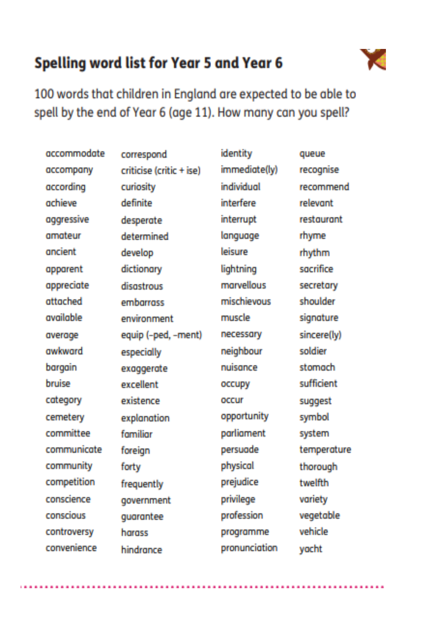# **Spelling word list for Year 5 and Year 6**



and the contract of the contract of the contract of the contract of

100 words that children in England are expected to be able to spell by the end of Year 6 (age 11). How many can you spell?

| accommodate | correspond               | identity      | queue       |
|-------------|--------------------------|---------------|-------------|
| accompany   | criticise (critic + ise) | immediate(ly) | recognise   |
| according   | curiosity                | individual    | recommend   |
| achieve     | definite                 | interfere     | relevant    |
| aggressive  | desperate                | interrupt     | restaurant  |
| amateur     | determined               | language      | rhyme       |
| ancient     | develop                  | leisure       | rhythm      |
| apparent    | dictionary               | lightning     | sacrifice   |
| appreciate  | disastrous               | marvellous    | secretary   |
| attached    | embarrass                | mischievous   | shoulder    |
| available   | environment              | muscle        | signature   |
| average     | equip (-ped, -ment)      | necessary     | sincere(ly) |
| awkward     | especially               | neighbour     | soldier     |
| bargain     | exaggerate               | nuisance      | stomach     |
| bruise      | excellent                | occupy        | sufficient  |
| category    | existence                | oacur         | suggest     |
| cemetery    | explanation              | opportunity   | symbol      |
| committee   | familiar                 | parliament    | system      |
| communicate | foreign                  | persuade      | temperature |
| community   | forty                    | physical      | thorough    |
| competition | frequently               | prejudice     | twelfth     |
| conscience  | government               | privilege     | variety     |
| conscious   | guarantee                | profession    | vegetable   |
| controversy | harass                   | programme     | vehicle     |
| convenience | hindrance                | pronunciation | yacht       |
|             |                          |               |             |

and the contract of the contract of the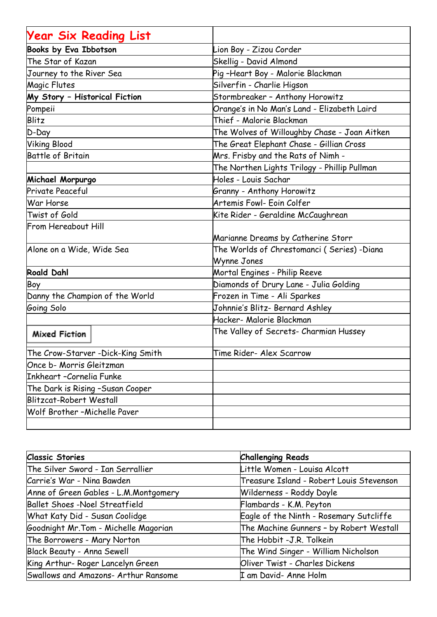| <b>Year Six Reading List</b>      |                                              |
|-----------------------------------|----------------------------------------------|
| Books by Eva Ibbotson             | Lion Boy - Zizou Corder                      |
| The Star of Kazan                 | Skellig - David Almond                       |
| Journey to the River Sea          | Pig -Heart Boy - Malorie Blackman            |
| Magic Flutes                      | Silverfin - Charlie Higson                   |
| My Story - Historical Fiction     | Stormbreaker - Anthony Horowitz              |
| Pompeii                           | Orange's in No Man's Land - Elizabeth Laird  |
| Blitz                             | Thief - Malorie Blackman                     |
| D-Day                             | The Wolves of Willoughby Chase - Joan Aitken |
| <b>Viking Blood</b>               | The Great Elephant Chase - Gillian Cross     |
| <b>Battle of Britain</b>          | Mrs. Frisby and the Rats of Nimh -           |
|                                   | The Northen Lights Trilogy - Phillip Pullman |
| Michael Morpurgo                  | Holes - Louis Sachar                         |
| Private Peaceful                  | Granny - Anthony Horowitz                    |
| War Horse                         | Artemis Fowl- Eoin Colfer                    |
| Twist of Gold                     | Kite Rider - Geraldine McCaughrean           |
| From Hereabout Hill               |                                              |
|                                   | Marianne Dreams by Catherine Storr           |
| Alone on a Wide, Wide Sea         | The Worlds of Chrestomanci (Series) -Diana   |
|                                   | Wynne Jones                                  |
| <b>Roald Dahl</b>                 | Mortal Engines - Philip Reeve                |
| Boy                               | Diamonds of Drury Lane - Julia Golding       |
| Danny the Champion of the World   | Frozen in Time - Ali Sparkes                 |
| Going Solo                        | Johnnie's Blitz- Bernard Ashley              |
|                                   | Hacker- Malorie Blackman                     |
| <b>Mixed Fiction</b>              | The Valley of Secrets- Charmian Hussey       |
| The Crow-Starver -Dick-King Smith | Time Rider- Alex Scarrow                     |
| Once b- Morris Gleitzman          |                                              |
| Inkheart -Cornelia Funke          |                                              |
| The Dark is Rising -Susan Cooper  |                                              |
| Blitzcat-Robert Westall           |                                              |
| Wolf Brother - Michelle Paver     |                                              |
|                                   |                                              |

| <b>Classic Stories</b>                | <b>Challenging Reads</b>                 |
|---------------------------------------|------------------------------------------|
| The Silver Sword - Ian Serrallier     | Little Women - Louisa Alcott             |
| Carrie's War - Nina Bawden            | Treasure Island - Robert Louis Stevenson |
| Anne of Green Gables - L.M.Montgomery | Wilderness - Roddy Doyle                 |
| Ballet Shoes -Noel Streatfield        | Flambards - K.M. Peyton                  |
| What Katy Did - Susan Coolidge        | Eagle of the Ninth - Rosemary Sutcliffe  |
| Goodnight Mr. Tom - Michelle Magorian | The Machine Gunners - by Robert Westall  |
| The Borrowers - Mary Norton           | The Hobbit -J.R. Tolkein                 |
| Black Beauty - Anna Sewell            | The Wind Singer - William Nicholson      |
| King Arthur- Roger Lancelyn Green     | Oliver Twist - Charles Dickens           |
| Swallows and Amazons- Arthur Ransome  | I am David- Anne Holm                    |